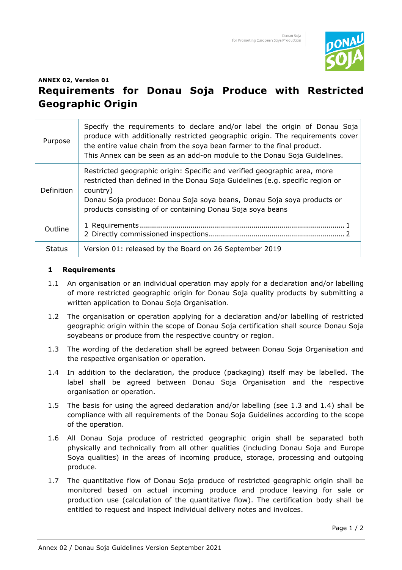

## **ANNEX 02, Version 01**

## **Requirements for Donau Soja Produce with Restricted Geographic Origin**

| Purpose       | Specify the requirements to declare and/or label the origin of Donau Soja<br>produce with additionally restricted geographic origin. The requirements cover<br>the entire value chain from the soya bean farmer to the final product.<br>This Annex can be seen as an add-on module to the Donau Soja Guidelines. |
|---------------|-------------------------------------------------------------------------------------------------------------------------------------------------------------------------------------------------------------------------------------------------------------------------------------------------------------------|
| Definition    | Restricted geographic origin: Specific and verified geographic area, more<br>restricted than defined in the Donau Soja Guidelines (e.g. specific region or<br>country)<br>Donau Soja produce: Donau Soja soya beans, Donau Soja soya products or<br>products consisting of or containing Donau Soja soya beans    |
| Outline       |                                                                                                                                                                                                                                                                                                                   |
| <b>Status</b> | Version 01: released by the Board on 26 September 2019                                                                                                                                                                                                                                                            |

## **1 Requirements**

- 1.1 An organisation or an individual operation may apply for a declaration and/or labelling of more restricted geographic origin for Donau Soja quality products by submitting a written application to Donau Soja Organisation.
- 1.2 The organisation or operation applying for a declaration and/or labelling of restricted geographic origin within the scope of Donau Soja certification shall source Donau Soja soyabeans or produce from the respective country or region.
- 1.3 The wording of the declaration shall be agreed between Donau Soja Organisation and the respective organisation or operation.
- 1.4 In addition to the declaration, the produce (packaging) itself may be labelled. The label shall be agreed between Donau Soja Organisation and the respective organisation or operation.
- 1.5 The basis for using the agreed declaration and/or labelling (see 1.3 and 1.4) shall be compliance with all requirements of the Donau Soja Guidelines according to the scope of the operation.
- 1.6 All Donau Soja produce of restricted geographic origin shall be separated both physically and technically from all other qualities (including Donau Soja and Europe Soya qualities) in the areas of incoming produce, storage, processing and outgoing produce.
- 1.7 The quantitative flow of Donau Soja produce of restricted geographic origin shall be monitored based on actual incoming produce and produce leaving for sale or production use (calculation of the quantitative flow). The certification body shall be entitled to request and inspect individual delivery notes and invoices.